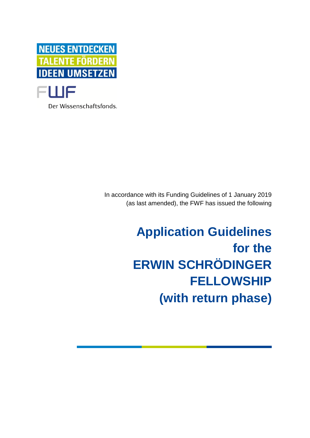

Der Wissenschaftsfonds.

In accordance with its Funding Guidelines of 1 January 2019 (as last amended), the FWF has issued the following

# **Application Guidelines for the ERWIN SCHRÖDINGER FELLOWSHIP (with return phase)**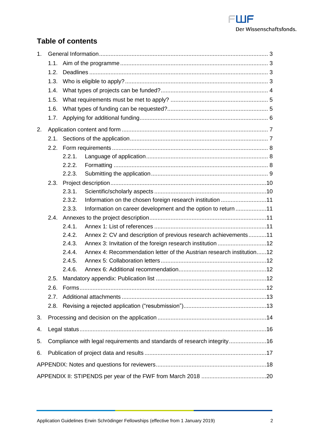

# **Table of contents**

| 1 <sub>1</sub> |      |                                                                                 |  |  |  |
|----------------|------|---------------------------------------------------------------------------------|--|--|--|
|                | 1.1. |                                                                                 |  |  |  |
|                | 1.2. |                                                                                 |  |  |  |
|                | 1.3. |                                                                                 |  |  |  |
|                | 1.4. |                                                                                 |  |  |  |
|                | 1.5. |                                                                                 |  |  |  |
|                | 1.6. |                                                                                 |  |  |  |
|                | 1.7. |                                                                                 |  |  |  |
| 2.             |      |                                                                                 |  |  |  |
|                | 2.1. |                                                                                 |  |  |  |
|                | 2.2. |                                                                                 |  |  |  |
|                |      | 2.2.1.                                                                          |  |  |  |
|                |      | 2.2.2.                                                                          |  |  |  |
|                |      | 2.2.3.                                                                          |  |  |  |
|                | 2.3. |                                                                                 |  |  |  |
|                |      | 2.3.1.                                                                          |  |  |  |
|                |      | Information on the chosen foreign research institution 11<br>2.3.2.             |  |  |  |
|                |      | Information on career development and the option to return 11<br>2.3.3.         |  |  |  |
|                | 2.4. |                                                                                 |  |  |  |
|                |      | 2.4.1.                                                                          |  |  |  |
|                |      | 2.4.2.<br>Annex 2: CV and description of previous research achievements11       |  |  |  |
|                |      | 2.4.3.                                                                          |  |  |  |
|                |      | 2.4.4.<br>Annex 4: Recommendation letter of the Austrian research institution12 |  |  |  |
|                |      | 2.4.5.                                                                          |  |  |  |
|                |      | 2.4.6.                                                                          |  |  |  |
|                | 2.5. |                                                                                 |  |  |  |
|                | 2.6. |                                                                                 |  |  |  |
|                | 2.7. |                                                                                 |  |  |  |
|                | 2.8. |                                                                                 |  |  |  |
| 3.             |      |                                                                                 |  |  |  |
| 4.             |      |                                                                                 |  |  |  |
| 5.             |      | Compliance with legal requirements and standards of research integrity16        |  |  |  |
| 6.             |      |                                                                                 |  |  |  |
|                |      |                                                                                 |  |  |  |
|                |      |                                                                                 |  |  |  |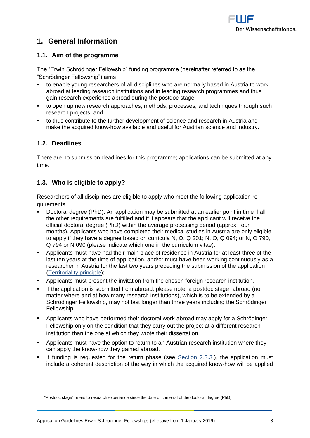

# <span id="page-2-0"></span>**1. General Information**

## <span id="page-2-1"></span>**1.1. Aim of the programme**

The "Erwin Schrödinger Fellowship" funding programme (hereinafter referred to as the "Schrödinger Fellowship") aims

- to enable young researchers of all disciplines who are normally based in Austria to work abroad at leading research institutions and in leading research programmes and thus gain research experience abroad during the postdoc stage;
- to open up new research approaches, methods, processes, and techniques through such research projects; and
- to thus contribute to the further development of science and research in Austria and make the acquired know-how available and useful for Austrian science and industry.

## <span id="page-2-2"></span>**1.2. Deadlines**

There are no submission deadlines for this programme; applications can be submitted at any time.

## <span id="page-2-3"></span>**1.3. Who is eligible to apply?**

Researchers of all disciplines are eligible to apply who meet the following application requirements:

- Doctoral degree (PhD). An application may be submitted at an earlier point in time if all the other requirements are fulfilled and if it appears that the applicant will receive the official doctoral degree (PhD) within the average processing period (approx. four months). Applicants who have completed their medical studies in Austria are only eligible to apply if they have a degree based on curricula N, O, Q 201; N, O, Q 094; or N, O 790, Q 794 or N 090 (please indicate which one in the curriculum vitae).
- Applicants must have had their main place of residence in Austria for at least three of the last ten years at the time of application, and/or must have been working continuously as a researcher in Austria for the last two years preceding the submission of the application [\(Territoriality principle\)](https://www.fwf.ac.at/fileadmin/files/Dokumente/Antragstellung/glossary_application-guidelines.pdf);
- Applicants must present the invitation from the chosen foreign research institution.
- If the application is submitted from abroad, please note: a postdoc stage<sup>1</sup> abroad (no matter where and at how many research institutions), which is to be extended by a Schrödinger Fellowship, may not last longer than three years including the Schrödinger Fellowship.
- Applicants who have performed their doctoral work abroad may apply for a Schrödinger Fellowship only on the condition that they carry out the project at a different research institution than the one at which they wrote their dissertation.
- **•** Applicants must have the option to return to an Austrian research institution where they can apply the know-how they gained abroad.
- If funding is requested for the return phase (see [Section 2.3.3.\)](#page-10-1), the application must include a coherent description of the way in which the acquired know-how will be applied

<sup>1</sup> "Postdoc stage" refers to research experience since the date of conferral of the doctoral degree (PhD).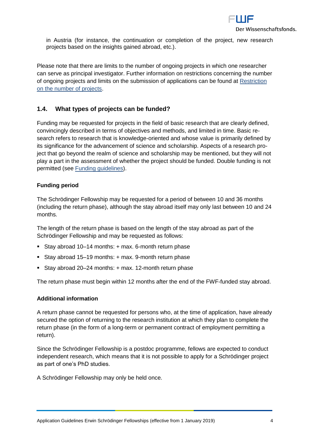

in Austria (for instance, the continuation or completion of the project, new research projects based on the insights gained abroad, etc.).

Please note that there are limits to the number of ongoing projects in which one researcher can serve as principal investigator. Further information on restrictions concerning the number of ongoing projects and limits on the submission of applications can be found at [Restriction](https://www.fwf.ac.at/fileadmin/files/Dokumente/Antragstellung/project_number_limit.pdf) on the number of projects.

## <span id="page-3-0"></span>**1.4. What types of projects can be funded?**

Funding may be requested for projects in the field of basic research that are clearly defined, convincingly described in terms of objectives and methods, and limited in time. Basic research refers to research that is knowledge-oriented and whose value is primarily defined by its significance for the advancement of science and scholarship. Aspects of a research project that go beyond the realm of science and scholarship may be mentioned, but they will not play a part in the assessment of whether the project should be funded. Double funding is not permitted (see [Funding guidelines\)](https://www.fwf.ac.at/fileadmin/files/Dokumente/Ueber_den_FWF/Publikationen/FWF-relevante_Publikationen/fwf_funding_guidelines.pdf).

#### **Funding period**

The Schrödinger Fellowship may be requested for a period of between 10 and 36 months (including the return phase), although the stay abroad itself may only last between 10 and 24 months.

The length of the return phase is based on the length of the stay abroad as part of the Schrödinger Fellowship and may be requested as follows:

- Stay abroad 10–14 months: + max. 6-month return phase
- Stay abroad 15–19 months: + max. 9-month return phase
- Stay abroad 20–24 months: + max. 12-month return phase

The return phase must begin within 12 months after the end of the FWF-funded stay abroad.

#### **Additional information**

A return phase cannot be requested for persons who, at the time of application, have already secured the option of returning to the research institution at which they plan to complete the return phase (in the form of a long-term or permanent contract of employment permitting a return).

Since the Schrödinger Fellowship is a postdoc programme, fellows are expected to conduct independent research, which means that it is not possible to apply for a Schrödinger project as part of one's PhD studies.

A Schrödinger Fellowship may only be held once.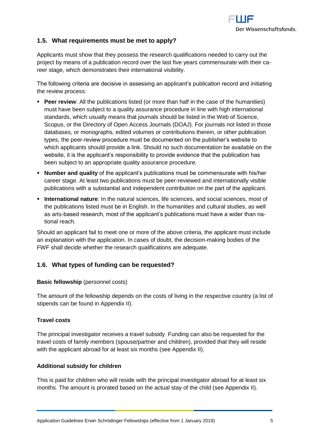

## <span id="page-4-0"></span>**1.5. What requirements must be met to apply?**

Applicants must show that they possess the research qualifications needed to carry out the project by means of a publication record over the last five years commensurate with their career stage, which demonstrates their international visibility.

The following criteria are decisive in assessing an applicant's publication record and initiating the review process:

- **Peer review**: All the publications listed (or more than half in the case of the humanities) must have been subject to a quality assurance procedure in line with high international standards, which usually means that journals should be listed in the Web of Science, Scopus, or the Directory of Open Access Journals (DOAJ). For journals not listed in those databases, or monographs, edited volumes or contributions therein, or other publication types, the peer-review procedure must be documented on the publisher's website to which applicants should provide a link. Should no such documentation be available on the website, it is the applicant's responsibility to provide evidence that the publication has been subject to an appropriate quality assurance procedure.
- **Number and quality** of the applicant's publications must be commensurate with his/her career stage. At least two publications must be peer-reviewed and internationally visible publications with a substantial and independent contribution on the part of the applicant.
- **International nature**: In the natural sciences, life sciences, and social sciences, most of the publications listed must be in English. In the humanities and cultural studies, as well as arts-based research, most of the applicant's publications must have a wider than national reach.

Should an applicant fail to meet one or more of the above criteria, the applicant must include an explanation with the application. In cases of doubt, the decision-making bodies of the FWF shall decide whether the research qualifications are adequate.

#### <span id="page-4-1"></span>**1.6. What types of funding can be requested?**

#### **Basic fellowship** (personnel costs)

The amount of the fellowship depends on the costs of living in the respective country (a list of stipends can be found in Appendix II).

#### **Travel costs**

The principal investigator receives a travel subsidy. Funding can also be requested for the travel costs of family members (spouse/partner and children), provided that they will reside with the applicant abroad for at least six months (see Appendix II).

#### **Additional subsidy for children**

This is paid for children who will reside with the principal investigator abroad for at least six months. The amount is prorated based on the actual stay of the child (see Appendix II).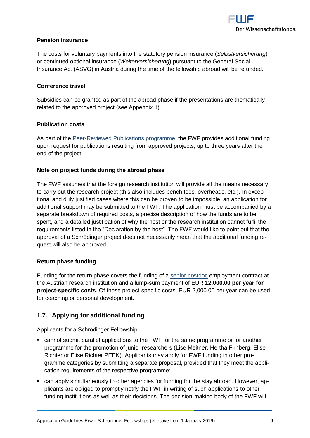

#### **Pension insurance**

The costs for voluntary payments into the statutory pension insurance (*Selbstversicherung*) or continued optional insurance (*Weiterversicherung*) pursuant to the General Social Insurance Act (ASVG) in Austria during the time of the fellowship abroad will be refunded.

#### **Conference travel**

Subsidies can be granted as part of the abroad phase if the presentations are thematically related to the approved project (see Appendix II).

#### **Publication costs**

As part of the [Peer-Reviewed Publications programme,](https://www.fwf.ac.at/en/research-funding/fwf-programmes/peer-reviewed-publications/) the FWF provides additional funding upon request for publications resulting from approved projects, up to three years after the end of the project.

#### **Note on project funds during the abroad phase**

The FWF assumes that the foreign research institution will provide all the means necessary to carry out the research project (this also includes bench fees, overheads, etc.). In exceptional and duly justified cases where this can be proven to be impossible, an application for additional support may be submitted to the FWF. The application must be accompanied by a separate breakdown of required costs, a precise description of how the funds are to be spent, and a detailed justification of why the host or the research institution cannot fulfil the requirements listed in the "Declaration by the host". The FWF would like to point out that the approval of a Schrödinger project does not necessarily mean that the additional funding request will also be approved.

#### **Return phase funding**

Funding for the return phase covers the funding of a [senior postdoc](https://www.fwf.ac.at/en/research-funding/personnel-costs/) employment contract at the Austrian research institution and a lump-sum payment of EUR **12,000.00 per year for project-specific costs**. Of those project-specific costs, EUR 2,000.00 per year can be used for coaching or personal development.

## <span id="page-5-0"></span>**1.7. Applying for additional funding**

Applicants for a Schrödinger Fellowship

- cannot submit parallel applications to the FWF for the same programme or for another programme for the promotion of junior researchers (Lise Meitner, Hertha Firnberg, Elise Richter or Elise Richter PEEK). Applicants may apply for FWF funding in other programme categories by submitting a separate proposal, provided that they meet the application requirements of the respective programme;
- can apply simultaneously to other agencies for funding for the stay abroad. However, applicants are obliged to promptly notify the FWF in writing of such applications to other funding institutions as well as their decisions. The decision-making body of the FWF will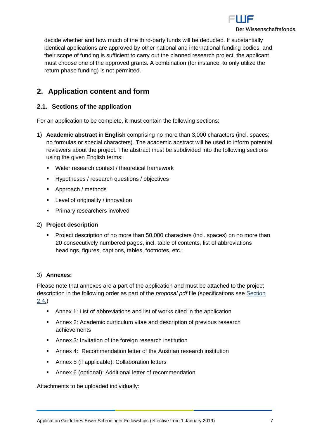

decide whether and how much of the third-party funds will be deducted. If substantially identical applications are approved by other national and international funding bodies, and their scope of funding is sufficient to carry out the planned research project, the applicant must choose one of the approved grants. A combination (for instance, to only utilize the return phase funding) is not permitted.

# <span id="page-6-0"></span>**2. Application content and form**

## <span id="page-6-1"></span>**2.1. Sections of the application**

For an application to be complete, it must contain the following sections:

- 1) **Academic abstract** in **English** comprising no more than 3,000 characters (incl. spaces; no formulas or special characters). The academic abstract will be used to inform potential reviewers about the project. The abstract must be subdivided into the following sections using the given English terms:
	- **Wider research context / theoretical framework**
	- **Hypotheses / research questions / objectives**
	- Approach / methods
	- **EXECTE:** Level of originality / innovation
	- Primary researchers involved

#### 2) **Project description**

**Project description of no more than 50,000 characters (incl. spaces) on no more than** 20 consecutively numbered pages, incl. table of contents, list of abbreviations headings, figures, captions, tables, footnotes, etc.;

#### 3) **Annexes:**

Please note that annexes are a part of the application and must be attached to the project description in the following order as part of the *proposal.pdf* file (specifications see [Section](#page-10-2)  [2.4.\)](#page-10-2)

- Annex 1: List of abbreviations and list of works cited in the application
- Annex 2: Academic curriculum vitae and description of previous research achievements
- Annex 3: Invitation of the foreign research institution
- Annex 4: Recommendation letter of the Austrian research institution
- Annex 5 (if applicable): Collaboration letters
- Annex 6 (optional): Additional letter of recommendation

Attachments to be uploaded individually: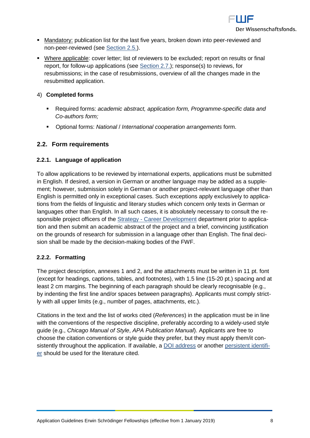

- **Mandatory:** publication list for the last five years, broken down into peer-reviewed and non-peer-reviewed (see [Section 2.5.\)](#page-11-4).
- Where applicable: cover letter; list of reviewers to be excluded; report on results or final report, for follow-up applications (see [Section 2.7.\)](#page-12-0); response(s) to reviews, for resubmissions; in the case of resubmissions, overview of all the changes made in the resubmitted application.

#### 4) **Completed forms**

- Required forms: *academic abstract, application form, Programme-specific data and Co-authors form;*
- Optional forms: *National* / *International cooperation arrangements* form.

#### <span id="page-7-0"></span>**2.2. Form requirements**

#### <span id="page-7-1"></span>**2.2.1. Language of application**

To allow applications to be reviewed by international experts, applications must be submitted in English. If desired, a version in German or another language may be added as a supplement; however, submission solely in German or another project-relevant language other than English is permitted only in exceptional cases. Such exceptions apply exclusively to applications from the fields of linguistic and literary studies which concern only texts in German or languages other than English. In all such cases, it is absolutely necessary to consult the responsible project officers of the Strategy - [Career Development](https://www.fwf.ac.at/en/about-the-fwf/organisation/fwf-team/specialist-departments/strategy-career-development/) department prior to application and then submit an academic abstract of the project and a brief, convincing justification on the grounds of research for submission in a language other than English. The final decision shall be made by the decision-making bodies of the FWF.

#### <span id="page-7-2"></span>**2.2.2. Formatting**

The project description, annexes 1 and 2, and the attachments must be written in 11 pt. font (except for headings, captions, tables, and footnotes), with 1.5 line (15-20 pt.) spacing and at least 2 cm margins. The beginning of each paragraph should be clearly recognisable (e.g., by indenting the first line and/or spaces between paragraphs). Applicants must comply strictly with all upper limits (e.g., number of pages, attachments, etc.).

Citations in the text and the list of works cited (*References*) in the application must be in line with the conventions of the respective discipline, preferably according to a widely-used style guide (e.g., *Chicago Manual of Style*, *APA Publication Manual*). Applicants are free to choose the citation conventions or style guide they prefer, but they must apply them/it consistently throughout the application. If available, a [DOI address](http://www.doi.org/) or another [persistent identifi](https://en.wikipedia.org/wiki/Persistent_identifier)[er](https://en.wikipedia.org/wiki/Persistent_identifier) should be used for the literature cited.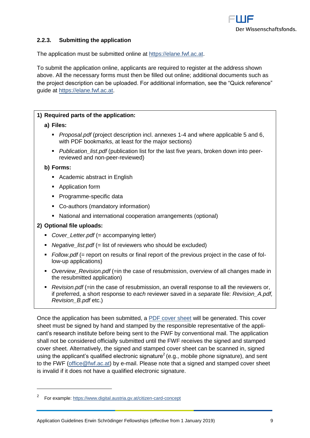

#### <span id="page-8-0"></span>**2.2.3. Submitting the application**

The application must be submitted online at [https://elane.fwf.ac.at.](https://elane.fwf.ac.at/)

To submit the application online, applicants are required to register at the address shown above. All the necessary forms must then be filled out online; additional documents such as the project description can be uploaded. For additional information, see the "Quick reference" guide at [https://elane.fwf.ac.at.](https://elane.fwf.ac.at/)

#### **1) Required parts of the application:**

#### **a) Files:**

- *Proposal.pdf* (project description incl. annexes 1-4 and where applicable 5 and 6, with PDF bookmarks, at least for the major sections)
- *Publication\_list.pdf* (publication list for the last five years, broken down into peerreviewed and non-peer-reviewed)

#### **b) Forms:**

- Academic abstract in English
- **Application form**
- Programme-specific data
- Co-authors (mandatory information)
- National and international cooperation arrangements (optional)

#### **2) Optional file uploads:**

 $\overline{a}$ 

- **Cover Letter.pdf (= accompanying letter)**
- **•** *Negative list.pdf* (= list of reviewers who should be excluded)
- *Follow.pdf* (= report on results or final report of the previous project in the case of follow-up applications)
- **•** Overview Revision.pdf (=in the case of resubmission, overview of all changes made in the resubmitted application)
- **P** Revision.pdf (=in the case of resubmission, an overall response to all the reviewers or, if preferred, a short response to *each* reviewer saved in a *separate* file: *Revision\_A.pdf, Revision\_B.pdf* etc.)

Once the application has been submitted, a [PDF cover sheet](https://www.fwf.ac.at/fileadmin/files/Dokumente/Antragstellung/glossary_application-guidelines.pdf) will be generated. This cover sheet must be signed by hand and stamped by the responsible representative of the applicant's research institute before being sent to the FWF by conventional mail. The application shall not be considered officially submitted until the FWF receives the signed and stamped cover sheet. Alternatively, the signed and stamped cover sheet can be scanned in, signed using the applicant's qualified electronic signature<sup>2</sup> (e.g., mobile phone signature), and sent to the FWF [\(office@fwf.ac.at\)](mailto:office@fwf.ac.at) by e-mail. Please note that a signed and stamped cover sheet is invalid if it does not have a qualified electronic signature.

<sup>2</sup> For example:<https://www.digital.austria.gv.at/citizen-card-concept>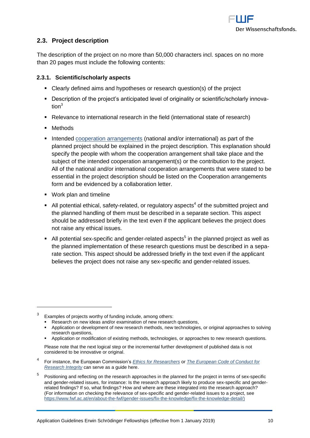

## <span id="page-9-0"></span>**2.3. Project description**

The description of the project on no more than 50,000 characters incl. spaces on no more than 20 pages must include the following contents:

#### <span id="page-9-1"></span>**2.3.1. Scientific/scholarly aspects**

- Clearly defined aims and hypotheses or research question(s) of the project
- Description of the project's anticipated level of originality or scientific/scholarly innova $t$ ion $3$
- Relevance to international research in the field (international state of research)
- Methods

 $\overline{a}$ 

- Intended [cooperation arrangements](https://www.fwf.ac.at/fileadmin/files/Dokumente/Antragstellung/glossary_application-guidelines.pdf) (national and/or international) as part of the planned project should be explained in the project description. This explanation should specify the people with whom the cooperation arrangement shall take place and the subject of the intended cooperation arrangement(s) or the contribution to the project. All of the national and/or international cooperation arrangements that were stated to be essential in the project description should be listed on the Cooperation arrangements form and be evidenced by a collaboration letter.
- Work plan and timeline
- $\blacksquare$  All potential ethical, safety-related, or regulatory aspects<sup>4</sup> of the submitted project and the planned handling of them must be described in a separate section. This aspect should be addressed briefly in the text even if the applicant believes the project does not raise any ethical issues.
- $\blacksquare$  All potential sex-specific and gender-related aspects<sup>5</sup> in the planned project as well as the planned implementation of these research questions must be described in a separate section. This aspect should be addressed briefly in the text even if the applicant believes the project does not raise any sex-specific and gender-related issues.

Application or modification of existing methods, technologies, or approaches to new research questions.

<sup>3</sup> Examples of projects worthy of funding include, among others:

**Research on new ideas and/or examination of new research questions,** 

Application or development of new research methods, new technologies, or original approaches to solving research questions,

Please note that the next logical step or the incremental further development of published data is not considered to be innovative or original.

<sup>4</sup> For instance, the European Commission's *[Ethics for Researchers](http://ec.europa.eu/research/participants/data/ref/fp7/89888/ethics-for-researchers_en.pdf)* or *[The European Code of Conduct for](https://ec.europa.eu/research/participants/data/ref/h2020/other/hi/h2020-ethics_code-of-conduct_en.pdf)  [Research Integrity](https://ec.europa.eu/research/participants/data/ref/h2020/other/hi/h2020-ethics_code-of-conduct_en.pdf)* can serve as a guide here.

<sup>5</sup> Positioning and reflecting on the research approaches in the planned for the project in terms of sex-specific and gender-related issues, for instance: Is the research approach likely to produce sex-specific and genderrelated findings? If so, what findings? How and where are these integrated into the research approach? (For information on checking the relevance of sex-specific and gender-related issues to a project, see [https://www.fwf.ac.at/en/about-the-fwf/gender-issues/fix-the-knowledge/fix-the-knowledge-detail/\)](https://www.fwf.ac.at/en/about-the-fwf/gender-issues/fix-the-knowledge/fix-the-knowledge-detail/)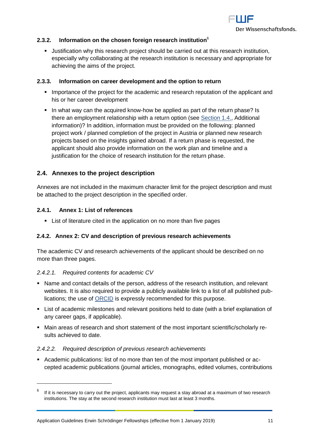

#### <span id="page-10-0"></span>**2.3.2. Information on the chosen foreign research institution**<sup>6</sup>

 Justification why this research project should be carried out at this research institution, especially why collaborating at the research institution is necessary and appropriate for achieving the aims of the project.

#### <span id="page-10-1"></span>**2.3.3. Information on career development and the option to return**

- **IMPORTANCE OF THE PROTECT FOR THE ACADEMIC AND RESPONSI I** Importance of the applicant and his or her career development
- In what way can the acquired know-how be applied as part of the return phase? Is there an employment relationship with a return option (see [Section](#page-4-1) 1.4., Additional information)? In addition, information must be provided on the following: planned project work / planned completion of the project in Austria or planned new research projects based on the insights gained abroad. If a return phase is requested, the applicant should also provide information on the work plan and timeline and a justification for the choice of research institution for the return phase.

#### <span id="page-10-2"></span>**2.4. Annexes to the project description**

Annexes are not included in the maximum character limit for the project description and must be attached to the project description in the specified order.

#### <span id="page-10-3"></span>**2.4.1. Annex 1: List of references**

List of literature cited in the application on no more than five pages

#### <span id="page-10-4"></span>**2.4.2. Annex 2: CV and description of previous research achievements**

The academic CV and research achievements of the applicant should be described on no more than three pages.

#### *2.4.2.1. Required contents for academic CV*

- Name and contact details of the person, address of the research institution, and relevant websites. It is also required to provide a publicly available link to a list of all published publications; the use of [ORCID](https://orcid.org/) is expressly recommended for this purpose.
- List of academic milestones and relevant positions held to date (with a brief explanation of any career gaps, if applicable).
- Main areas of research and short statement of the most important scientific/scholarly results achieved to date.

#### *2.4.2.2. Required description of previous research achievements*

 Academic publications: list of no more than ten of the most important published or accepted academic publications (journal articles, monographs, edited volumes, contributions

<sup>6</sup> If it is necessary to carry out the project, applicants may request a stay abroad at a maximum of two research institutions. The stay at the second research institution must last at least 3 months.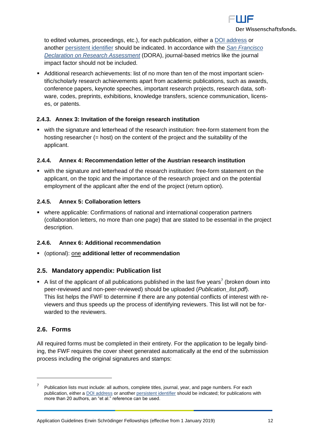

to edited volumes, proceedings, etc.), for each publication, either a [DOI address](http://www.doi.org/) or another [persistent identifier](http://en.wikipedia.org/wiki/Persistent_identifier) should be indicated. In accordance with the *[San Francisco](https://sfdora.org/)  [Declaration on Research Assessment](https://sfdora.org/)* (DORA), journal-based metrics like the journal impact factor should not be included.

 Additional research achievements: list of no more than ten of the most important scientific/scholarly research achievements apart from academic publications, such as awards, conference papers, keynote speeches, important research projects, research data, software, codes, preprints, exhibitions, knowledge transfers, science communication, licenses, or patents.

#### <span id="page-11-0"></span>**2.4.3. Annex 3: Invitation of the foreign research institution**

 with the signature and letterhead of the research institution: free-form statement from the hosting researcher (= host) on the content of the project and the suitability of the applicant.

#### <span id="page-11-1"></span>**2.4.4. Annex 4: Recommendation letter of the Austrian research institution**

 with the signature and letterhead of the research institution: free-form statement on the applicant, on the topic and the importance of the research project and on the potential employment of the applicant after the end of the project (return option).

#### <span id="page-11-2"></span>**2.4.5. Annex 5: Collaboration letters**

 where applicable: Confirmations of national and international cooperation partners (collaboration letters, no more than one page) that are stated to be essential in the project description.

#### <span id="page-11-3"></span>**2.4.6. Annex 6: Additional recommendation**

<span id="page-11-4"></span>(optional): one **additional letter of recommendation**

#### **2.5. Mandatory appendix: Publication list**

A list of the applicant of all publications published in the last five years<sup>7</sup> (broken down into peer-reviewed and non-peer-reviewed) should be uploaded (*Publication\_list.pdf*). This list helps the FWF to determine if there are any potential conflicts of interest with reviewers and thus speeds up the process of identifying reviewers. This list will not be forwarded to the reviewers.

#### <span id="page-11-5"></span>**2.6. Forms**

 $\overline{a}$ 

All required forms must be completed in their entirety. For the application to be legally binding, the FWF requires the cover sheet generated automatically at the end of the submission process including the original signatures and stamps:

<sup>7</sup> Publication lists must include: all authors, complete titles, journal, year, and page numbers. For each publication, either [a DOI address](http://www.doi.org/) or another [persistent identifier](http://en.wikipedia.org/wiki/Persistent_identifier) should be indicated; for publications with more than 20 authors, an "et al." reference can be used.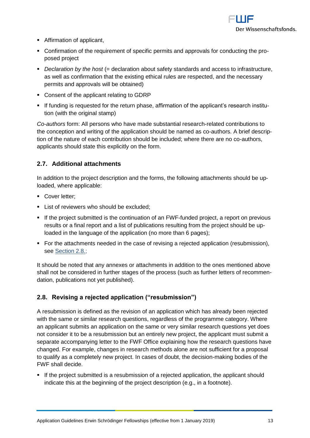

- Affirmation of applicant,
- Confirmation of the requirement of specific permits and approvals for conducting the proposed project
- *Declaration by the host* (= declaration about safety standards and access to infrastructure, as well as confirmation that the existing ethical rules are respected, and the necessary permits and approvals will be obtained)
- Consent of the applicant relating to GDRP
- If funding is requested for the return phase, affirmation of the applicant's research institution (with the original stamp)

*Co-authors* form: All persons who have made substantial research-related contributions to the conception and writing of the application should be named as co-authors. A brief description of the nature of each contribution should be included; where there are no co-authors, applicants should state this explicitly on the form.

## <span id="page-12-0"></span>**2.7. Additional attachments**

In addition to the project description and the forms, the following attachments should be uploaded, where applicable:

- Cover letter:
- **List of reviewers who should be excluded;**
- If the project submitted is the continuation of an FWF-funded project, a report on previous results or a final report and a list of publications resulting from the project should be uploaded in the language of the application (no more than 6 pages);
- For the attachments needed in the case of revising a rejected application (resubmission), see [Section 2.8.;](#page-12-1)

It should be noted that any annexes or attachments in addition to the ones mentioned above shall not be considered in further stages of the process (such as further letters of recommendation, publications not yet published).

## <span id="page-12-1"></span>**2.8. Revising a rejected application ("resubmission")**

A resubmission is defined as the revision of an application which has already been rejected with the same or similar research questions, regardless of the programme category. Where an applicant submits an application on the same or very similar research questions yet does not consider it to be a resubmission but an entirely new project, the applicant must submit a separate accompanying letter to the FWF Office explaining how the research questions have changed. For example, changes in research methods alone are not sufficient for a proposal to qualify as a completely new project. In cases of doubt, the decision-making bodies of the FWF shall decide.

 If the project submitted is a resubmission of a rejected application, the applicant should indicate this at the beginning of the project description (e.g., in a footnote).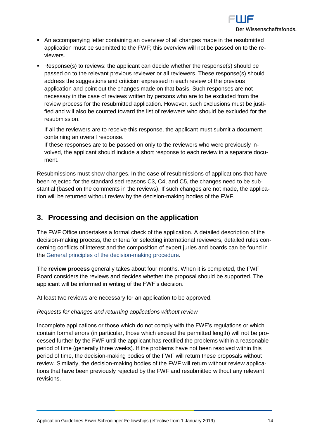

- An accompanying letter containing an overview of all changes made in the resubmitted application must be submitted to the FWF; this overview will not be passed on to the reviewers.
- Response(s) to reviews: the applicant can decide whether the response(s) should be passed on to the relevant previous reviewer or all reviewers. These response(s) should address the suggestions and criticism expressed in each review of the previous application and point out the changes made on that basis. Such responses are not necessary in the case of reviews written by persons who are to be excluded from the review process for the resubmitted application. However, such exclusions must be justified and will also be counted toward the list of reviewers who should be excluded for the resubmission.

If all the reviewers are to receive this response, the applicant must submit a document containing an overall response.

If these responses are to be passed on only to the reviewers who were previously involved, the applicant should include a short response to each review in a separate document.

Resubmissions must show changes. In the case of resubmissions of applications that have been rejected for the standardised reasons C3, C4, and C5, the changes need to be substantial (based on the comments in the reviews). If such changes are not made, the application will be returned without review by the decision-making bodies of the FWF.

# <span id="page-13-0"></span>**3. Processing and decision on the application**

The FWF Office undertakes a formal check of the application. A detailed description of the decision-making process, the criteria for selecting international reviewers, detailed rules concerning conflicts of interest and the composition of expert juries and boards can be found in the [General principles of the decision-making procedure.](https://www.fwf.ac.at/en/research-funding/decision-making-procedure/decision-making-procedure/)

The **review process** generally takes about four months. When it is completed, the FWF Board considers the reviews and decides whether the proposal should be supported. The applicant will be informed in writing of the FWF's decision.

At least two reviews are necessary for an application to be approved.

#### *Requests for changes and returning applications without review*

Incomplete applications or those which do not comply with the FWF's regulations or which contain formal errors (in particular, those which exceed the permitted length) will not be processed further by the FWF until the applicant has rectified the problems within a reasonable period of time (generally three weeks). If the problems have not been resolved within this period of time, the decision-making bodies of the FWF will return these proposals without review. Similarly, the decision-making bodies of the FWF will return without review applications that have been previously rejected by the FWF and resubmitted without any relevant revisions.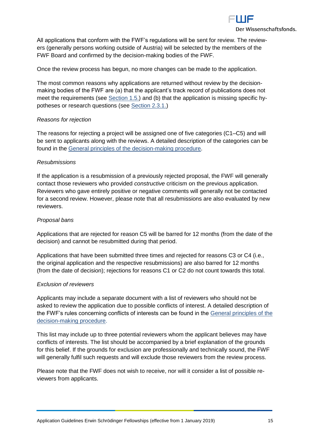

All applications that conform with the FWF's regulations will be sent for review. The reviewers (generally persons working outside of Austria) will be selected by the members of the FWF Board and confirmed by the decision-making bodies of the FWF.

Once the review process has begun, no more changes can be made to the application.

The most common reasons why applications are returned without review by the decisionmaking bodies of the FWF are (a) that the applicant's track record of publications does not meet the requirements (see [Section 1.5.\)](#page-4-0) and (b) that the application is missing specific hypotheses or research questions (see [Section 2.3.1.\)](#page-9-1)

#### *Reasons for rejection*

The reasons for rejecting a project will be assigned one of five categories (C1–C5) and will be sent to applicants along with the reviews. A detailed description of the categories can be found in the General [principles of the decision-making procedure.](https://www.fwf.ac.at/en/research-funding/decision-making-procedure/decision-making-procedure/)

#### *Resubmissions*

If the application is a resubmission of a previously rejected proposal, the FWF will generally contact those reviewers who provided *constructive* criticism on the previous application. Reviewers who gave entirely positive or negative comments will generally not be contacted for a second review. However, please note that all resubmissions are also evaluated by new reviewers.

#### *Proposal bans*

Applications that are rejected for reason C5 will be barred for 12 months (from the date of the decision) and cannot be resubmitted during that period.

Applications that have been submitted three times and rejected for reasons C3 or C4 (i.e., the original application and the respective resubmissions) are also barred for 12 months (from the date of decision); rejections for reasons C1 or C2 do not count towards this total.

#### *Exclusion of reviewers*

Applicants may include a separate document with a list of reviewers who should not be asked to review the application due to possible conflicts of interest. A detailed description of the FWF's rules concerning conflicts of interests can be found in the [General principles of the](https://www.fwf.ac.at/en/research-funding/decision-making-procedure/decision-making-procedure/)  [decision-making procedure.](https://www.fwf.ac.at/en/research-funding/decision-making-procedure/decision-making-procedure/)

This list may include up to three potential reviewers whom the applicant believes may have conflicts of interests. The list should be accompanied by a brief explanation of the grounds for this belief. If the grounds for exclusion are professionally and technically sound, the FWF will generally fulfil such requests and will exclude those reviewers from the review process.

Please note that the FWF does not wish to receive, nor will it consider a list of possible reviewers from applicants.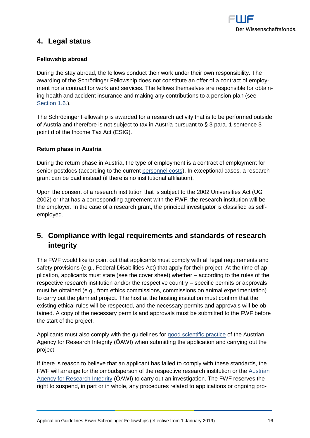

# <span id="page-15-0"></span>**4. Legal status**

#### **Fellowship abroad**

During the stay abroad, the fellows conduct their work under their own responsibility. The awarding of the Schrödinger Fellowship does not constitute an offer of a contract of employment nor a contract for work and services. The fellows themselves are responsible for obtaining health and accident insurance and making any contributions to a pension plan (see [Section 1.6.\)](#page-4-1).

The Schrödinger Fellowship is awarded for a research activity that is to be performed outside of Austria and therefore is not subject to tax in Austria pursuant to § 3 para. 1 sentence 3 point d of the Income Tax Act (EStG).

#### **Return phase in Austria**

During the return phase in Austria, the type of employment is a contract of employment for senior postdocs (according to the current [personnel costs\)](https://www.fwf.ac.at/en/research-funding/personnel-costs/). In exceptional cases, a research grant can be paid instead (if there is no institutional affiliation).

Upon the consent of a research institution that is subject to the 2002 Universities Act (UG 2002) or that has a corresponding agreement with the FWF, the research institution will be the employer. In the case of a research grant, the principal investigator is classified as selfemployed.

# <span id="page-15-1"></span>**5. Compliance with legal requirements and standards of research integrity**

The FWF would like to point out that applicants must comply with all legal requirements and safety provisions (e.g., Federal Disabilities Act) that apply for their project. At the time of application, applicants must state (see the cover sheet) whether – according to the rules of the respective research institution and/or the respective country – specific permits or approvals must be obtained (e.g., from ethics commissions, commissions on animal experimentation) to carry out the planned project. The host at the hosting institution must confirm that the existing ethical rules will be respected, and the necessary permits and approvals will be obtained. A copy of the necessary permits and approvals must be submitted to the FWF before the start of the project.

Applicants must also comply with the guidelines for [good scientific practice](https://oeawi.at/guidelines/?lang=en) of the Austrian Agency for Research Integrity (ÖAWI) when submitting the application and carrying out the project.

If there is reason to believe that an applicant has failed to comply with these standards, the FWF will arrange for the ombudsperson of the respective research institution or the [Austrian](https://oeawi.at/)  [Agency for Research Integrity](https://oeawi.at/) (ÖAWI) to carry out an investigation. The FWF reserves the right to suspend, in part or in whole, any procedures related to applications or ongoing pro-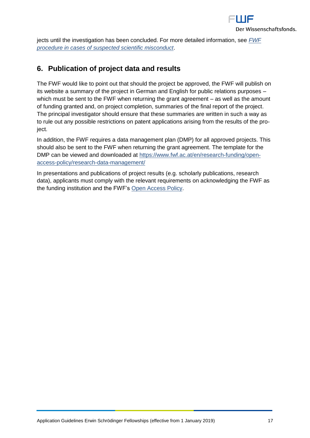

jects until the investigation has been concluded. For more detailed information, see *[FWF](https://www.fwf.ac.at/fileadmin/files/Dokumente/Research_Integrity_Ethics/FWF_Verfahren_Research_Misconduct-en.pdf)  [procedure in cases of suspected scientific misconduct](https://www.fwf.ac.at/fileadmin/files/Dokumente/Research_Integrity_Ethics/FWF_Verfahren_Research_Misconduct-en.pdf)*.

# <span id="page-16-0"></span>**6. Publication of project data and results**

The FWF would like to point out that should the project be approved, the FWF will publish on its website a summary of the project in German and English for public relations purposes – which must be sent to the FWF when returning the grant agreement – as well as the amount of funding granted and, on project completion, summaries of the final report of the project. The principal investigator should ensure that these summaries are written in such a way as to rule out any possible restrictions on patent applications arising from the results of the project.

In addition, the FWF requires a data management plan (DMP) for all approved projects. This should also be sent to the FWF when returning the grant agreement. The template for the DMP can be viewed and downloaded at [https://www.fwf.ac.at/en/research-funding/open](https://www.fwf.ac.at/en/research-funding/open-access-policy/research-data-management/)[access-policy/research-data-management/](https://www.fwf.ac.at/en/research-funding/open-access-policy/research-data-management/)

In presentations and publications of project results (e.g. scholarly publications, research data), applicants must comply with the relevant requirements on acknowledging the FWF as the funding institution and the FWF's [Open Access Policy.](https://www.fwf.ac.at/en/research-funding/open-access-policy/)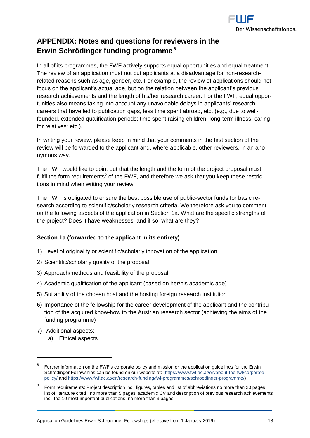

# <span id="page-17-0"></span>**APPENDIX: Notes and questions for reviewers in the Erwin Schrödinger funding programme <sup>8</sup>**

In all of its programmes, the FWF actively supports equal opportunities and equal treatment. The review of an application must not put applicants at a disadvantage for non-researchrelated reasons such as age, gender, etc. For example, the review of applications should not focus on the applicant's actual age, but on the relation between the applicant's previous research achievements and the length of his/her research career. For the FWF, equal opportunities also means taking into account any unavoidable delays in applicants' research careers that have led to publication gaps, less time spent abroad, etc. (e.g., due to wellfounded, extended qualification periods; time spent raising children; long-term illness; caring for relatives; etc.).

In writing your review, please keep in mind that your comments in the first section of the review will be forwarded to the applicant and, where applicable, other reviewers, in an anonymous way.

The FWF would like to point out that the length and the form of the project proposal must fulfil the form requirements<sup>9</sup> of the FWF, and therefore we ask that you keep these restrictions in mind when writing your review.

The FWF is obligated to ensure the best possible use of public-sector funds for basic research according to scientific/scholarly research criteria. We therefore ask you to comment on the following aspects of the application in Section 1a. What are the specific strengths of the project? Does it have weaknesses, and if so, what are they?

#### **Section 1a (forwarded to the applicant in its entirety):**

- 1) Level of originality or scientific/scholarly innovation of the application
- 2) Scientific/scholarly quality of the proposal
- 3) Approach/methods and feasibility of the proposal
- 4) Academic qualification of the applicant (based on her/his academic age)
- 5) Suitability of the chosen host and the hosting foreign research institution
- 6) Importance of the fellowship for the career development of the applicant and the contribution of the acquired know-how to the Austrian research sector (achieving the aims of the funding programme)
- 7) Additional aspects:

 $\overline{a}$ 

a) Ethical aspects

<sup>8</sup> Further information on the FWF's corporate policy and mission or the application guidelines for the Erwin Schrödinger Fellowships can be found on our website at: [\(https://www.fwf.ac.at/en/about-the-fwf/corporate](https://www.fwf.ac.at/en/about-the-fwf/corporate-policy/)[policy/](https://www.fwf.ac.at/en/about-the-fwf/corporate-policy/) an[d https://www.fwf.ac.at/en/research-funding/fwf-programmes/schroedinger-programme/\)](https://www.fwf.ac.at/en/research-funding/fwf-programmes/schroedinger-programme/)

<sup>9</sup> Form requirements: Project description incl. figures, tables and list of abbreviations no more than 20 pages; list of literature cited , no more than 5 pages; academic CV and description of previous research achievements incl. the 10 most important publications, no more than 3 pages.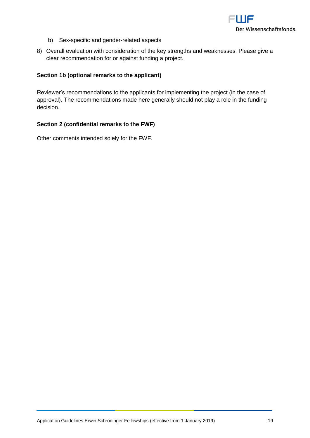

- b) Sex-specific and gender-related aspects
- 8) Overall evaluation with consideration of the key strengths and weaknesses. Please give a clear recommendation for or against funding a project.

#### **Section 1b (optional remarks to the applicant)**

Reviewer's recommendations to the applicants for implementing the project (in the case of approval). The recommendations made here generally should not play a role in the funding decision.

#### **Section 2 (confidential remarks to the FWF)**

Other comments intended solely for the FWF.